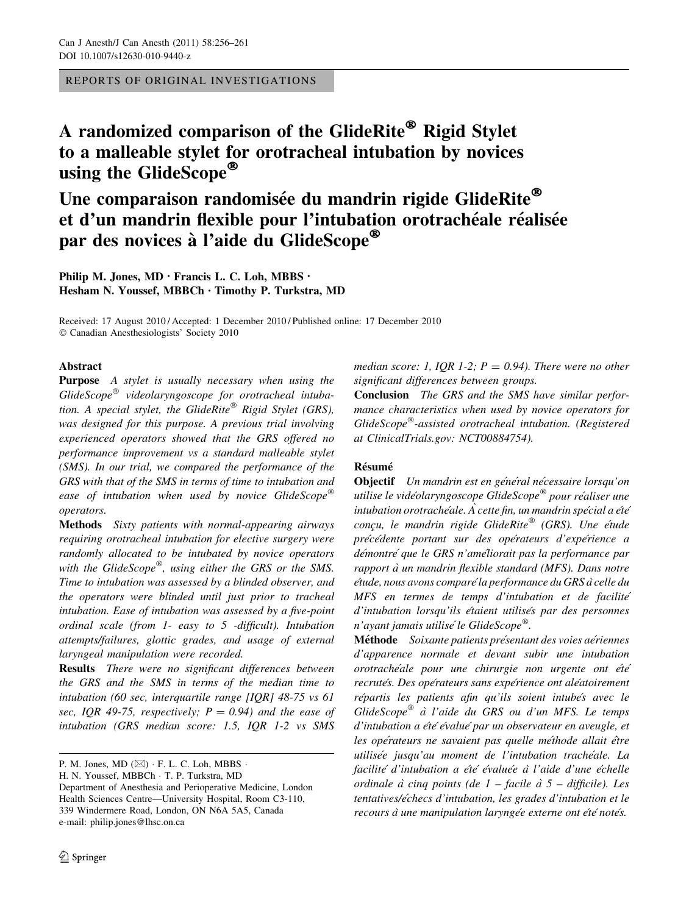REPORTS OF ORIGINAL INVESTIGATIONS

# A randomized comparison of the GlideRite® Rigid Stylet to a malleable stylet for orotracheal intubation by novices using the GlideScope®

# Une comparaison randomisée du mandrin rigide GlideRite® et d'un mandrin flexible pour l'intubation orotrachéale réalisée par des novices à l'aide du GlideScope®

Philip M. Jones, MD • Francis L. C. Loh, MBBS • Hesham N. Youssef, MBBCh • Timothy P. Turkstra, MD

Received: 17 August 2010 / Accepted: 1 December 2010 / Published online: 17 December 2010 © Canadian Anesthesiologists' Society 2010

# Abstract

Purpose A stylet is usually necessary when using the  $G$ lide $Scope^{\circledR}$  videolaryngoscope for orotracheal intubation. A special stylet, the GlideRite® Rigid Stylet (GRS), was designed for this purpose. A previous trial involving experienced operators showed that the GRS offered no performance improvement vs a standard malleable stylet (SMS). In our trial, we compared the performance of the GRS with that of the SMS in terms of time to intubation and ease of intubation when used by novice GlideScope® operators.

Methods Sixty patients with normal-appearing airways requiring orotracheal intubation for elective surgery were randomly allocated to be intubated by novice operators with the GlideScope<sup>®</sup>, using either the GRS or the SMS. Time to intubation was assessed by a blinded observer, and the operators were blinded until just prior to tracheal intubation. Ease of intubation was assessed by a five-point ordinal scale (from 1- easy to 5 -difficult). Intubation attempts/failures, glottic grades, and usage of external laryngeal manipulation were recorded.

Results There were no significant differences between the GRS and the SMS in terms of the median time to intubation (60 sec, interquartile range [IQR] 48-75 vs 61 sec, IQR 49-75, respectively;  $P = 0.94$ ) and the ease of intubation (GRS median score: 1.5, IQR 1-2 vs SMS

median score: 1, IQR 1-2;  $P = 0.94$ ). There were no other significant differences between groups.

Conclusion The GRS and the SMS have similar performance characteristics when used by novice operators for GlideScope<sup>®</sup>-assisted orotracheal intubation. (Registered at ClinicalTrials.gov: NCT00884754).

# **Résumé**

Objectif Un mandrin est en général nécessaire lorsqu'on utilise le vidéolaryngoscope GlideScope<sup>®</sup> pour réaliser une intubation orotrachéale.  $\hat{A}$  cette fin, un mandrin spécial a été conçu, le mandrin rigide GlideRite<sup>®</sup> (GRS). Une étude précédente portant sur des opérateurs d'expérience a démontré que le GRS n'améliorait pas la performance par rapport à un mandrin flexible standard (MFS). Dans notre e´tude, nous avons compare´la performance du GRS a`celle du MFS en termes de temps d'intubation et de facilité d'intubation lorsqu'ils étaient utilisés par des personnes n'ayant jamais utilisé le GlideScope<sup>®</sup>.

Méthode Soixante patients présentant des voies aériennes d'apparence normale et devant subir une intubation orotrachéale pour une chirurgie non urgente ont été recrutés. Des opérateurs sans expérience ont aléatoirement répartis les patients afin qu'ils soient intubés avec le GlideScope® à l'aide du GRS ou d'un MFS. Le temps d'intubation a été évalué par un observateur en aveugle, et les opérateurs ne savaient pas quelle méthode allait être utilisée jusqu'au moment de l'intubation trachéale. La facilité d'intubation a été évaluée à l'aide d'une échelle ordinale à cinq points (de  $1$  – facile à 5 – difficile). Les tentatives/échecs d'intubation, les grades d'intubation et le recours à une manipulation laryngée externe ont été notés.

P. M. Jones, MD  $(\boxtimes) \cdot$  F. L. C. Loh, MBBS  $\cdot$ 

H. N. Youssef, MBBCh - T. P. Turkstra, MD Department of Anesthesia and Perioperative Medicine, London Health Sciences Centre—University Hospital, Room C3-110, 339 Windermere Road, London, ON N6A 5A5, Canada e-mail: philip.jones@lhsc.on.ca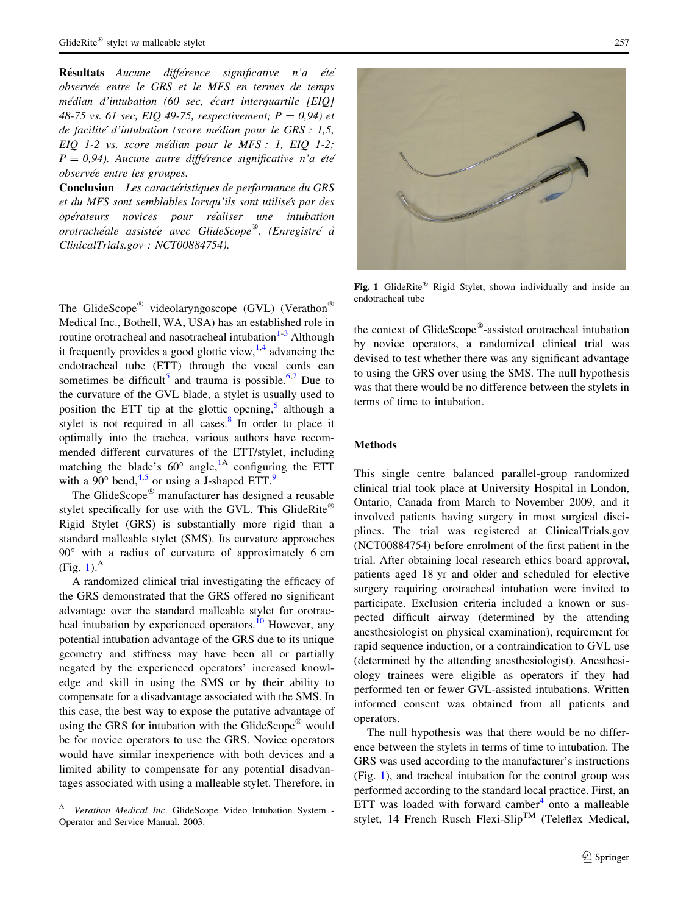Résultats Aucune différence significative n'a été observée entre le GRS et le MFS en termes de temps médian d'intubation (60 sec, écart interquartile  $[EIQ]$ 48-75 vs. 61 sec, EIQ 49-75, respectivement;  $P = 0.94$ ) et de facilité d'intubation (score médian pour le GRS : 1,5, EIQ 1-2 vs. score médian pour le MFS : 1, EIQ 1-2;  $P = 0.94$ ). Aucune autre différence significative n'a été observée entre les groupes.

Conclusion Les caractéristiques de performance du GRS et du MFS sont semblables lorsqu'ils sont utilisés par des ope´rateurs novices pour re´aliser une intubation orotrachéale assistée avec GlideScope®. (Enregistre´ à ClinicalTrials.gov : NCT00884754).

The GlideScope<sup>®</sup> videolaryngoscope (GVL) (Verathon<sup>®</sup> Medical Inc., Bothell, WA, USA) has an established role in routine orotracheal and nasotracheal intubation $1-3$  Although it frequently provides a good glottic view,  $1.4$  advancing the endotracheal tube (ETT) through the vocal cords can sometimes be difficult<sup>[5](#page-5-0)</sup> and trauma is possible.<sup>6,7</sup> Due to the curvature of the GVL blade, a stylet is usually used to position the ETT tip at the glottic opening, $5$  although a stylet is not required in all cases.<sup>[8](#page-5-0)</sup> In order to place it optimally into the trachea, various authors have recommended different curvatures of the ETT/stylet, including matching the blade's  $60^\circ$  angle,<sup>[1A](#page-5-0)</sup> configuring the ETT with a [9](#page-5-0)0 $^{\circ}$  bend,<sup>[4,5](#page-5-0)</sup> or using a J-shaped ETT.<sup>9</sup>

The GlideScope<sup>®</sup> manufacturer has designed a reusable stylet specifically for use with the GVL. This GlideRite® Rigid Stylet (GRS) is substantially more rigid than a standard malleable stylet (SMS). Its curvature approaches  $90^\circ$  with a radius of curvature of approximately 6 cm  $(Fig. 1)<sup>A</sup>$ 

A randomized clinical trial investigating the efficacy of the GRS demonstrated that the GRS offered no significant advantage over the standard malleable stylet for orotracheal intubation by experienced operators. $^{10}$  $^{10}$  $^{10}$  However, any potential intubation advantage of the GRS due to its unique geometry and stiffness may have been all or partially negated by the experienced operators' increased knowledge and skill in using the SMS or by their ability to compensate for a disadvantage associated with the SMS. In this case, the best way to expose the putative advantage of using the GRS for intubation with the GlideScope<sup>®</sup> would be for novice operators to use the GRS. Novice operators would have similar inexperience with both devices and a limited ability to compensate for any potential disadvantages associated with using a malleable stylet. Therefore, in



Fig. 1 GlideRite<sup>®</sup> Rigid Stylet, shown individually and inside an endotracheal tube

the context of GlideScope®-assisted orotracheal intubation by novice operators, a randomized clinical trial was devised to test whether there was any significant advantage to using the GRS over using the SMS. The null hypothesis was that there would be no difference between the stylets in terms of time to intubation.

# Methods

This single centre balanced parallel-group randomized clinical trial took place at University Hospital in London, Ontario, Canada from March to November 2009, and it involved patients having surgery in most surgical disciplines. The trial was registered at ClinicalTrials.gov (NCT00884754) before enrolment of the first patient in the trial. After obtaining local research ethics board approval, patients aged 18 yr and older and scheduled for elective surgery requiring orotracheal intubation were invited to participate. Exclusion criteria included a known or suspected difficult airway (determined by the attending anesthesiologist on physical examination), requirement for rapid sequence induction, or a contraindication to GVL use (determined by the attending anesthesiologist). Anesthesiology trainees were eligible as operators if they had performed ten or fewer GVL-assisted intubations. Written informed consent was obtained from all patients and operators.

The null hypothesis was that there would be no difference between the stylets in terms of time to intubation. The GRS was used according to the manufacturer's instructions (Fig. 1), and tracheal intubation for the control group was performed according to the standard local practice. First, an ETT was loaded with forward camber $4$  onto a malleable stylet, 14 French Rusch Flexi-Slip<sup>TM</sup> (Teleflex Medical,

<sup>A</sup> Verathon Medical Inc. GlideScope Video Intubation System - Operator and Service Manual, 2003.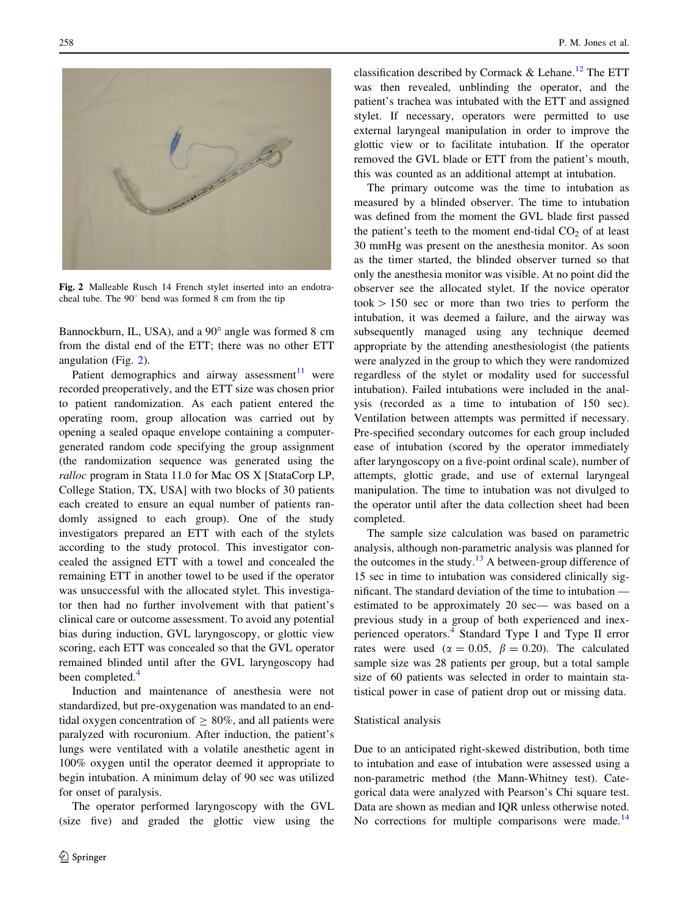

Fig. 2 Malleable Rusch 14 French stylet inserted into an endotracheal tube. The  $90^\circ$  bend was formed 8 cm from the tip

Bannockburn, IL, USA), and a 90 $^{\circ}$  angle was formed 8 cm from the distal end of the ETT; there was no other ETT angulation (Fig. 2).

Patient demographics and airway assessment $11$  were recorded preoperatively, and the ETT size was chosen prior to patient randomization. As each patient entered the operating room, group allocation was carried out by opening a sealed opaque envelope containing a computergenerated random code specifying the group assignment (the randomization sequence was generated using the ralloc program in Stata 11.0 for Mac OS X [StataCorp LP, College Station, TX, USA] with two blocks of 30 patients each created to ensure an equal number of patients randomly assigned to each group). One of the study investigators prepared an ETT with each of the stylets according to the study protocol. This investigator concealed the assigned ETT with a towel and concealed the remaining ETT in another towel to be used if the operator was unsuccessful with the allocated stylet. This investigator then had no further involvement with that patient's clinical care or outcome assessment. To avoid any potential bias during induction, GVL laryngoscopy, or glottic view scoring, each ETT was concealed so that the GVL operator remained blinded until after the GVL laryngoscopy had been completed.<sup>[4](#page-5-0)</sup>

Induction and maintenance of anesthesia were not standardized, but pre-oxygenation was mandated to an endtidal oxygen concentration of  $\geq 80\%$ , and all patients were paralyzed with rocuronium. After induction, the patient's lungs were ventilated with a volatile anesthetic agent in 100% oxygen until the operator deemed it appropriate to begin intubation. A minimum delay of 90 sec was utilized for onset of paralysis.

The operator performed laryngoscopy with the GVL (size five) and graded the glottic view using the classification described by Cormack & Lehane.<sup>[12](#page-5-0)</sup> The ETT was then revealed, unblinding the operator, and the patient's trachea was intubated with the ETT and assigned stylet. If necessary, operators were permitted to use external laryngeal manipulation in order to improve the glottic view or to facilitate intubation. If the operator removed the GVL blade or ETT from the patient's mouth, this was counted as an additional attempt at intubation.

The primary outcome was the time to intubation as measured by a blinded observer. The time to intubation was defined from the moment the GVL blade first passed the patient's teeth to the moment end-tidal  $CO<sub>2</sub>$  of at least 30 mmHg was present on the anesthesia monitor. As soon as the timer started, the blinded observer turned so that only the anesthesia monitor was visible. At no point did the observer see the allocated stylet. If the novice operator  $to \text{150}$  sec or more than two tries to perform the intubation, it was deemed a failure, and the airway was subsequently managed using any technique deemed appropriate by the attending anesthesiologist (the patients were analyzed in the group to which they were randomized regardless of the stylet or modality used for successful intubation). Failed intubations were included in the analysis (recorded as a time to intubation of 150 sec). Ventilation between attempts was permitted if necessary. Pre-specified secondary outcomes for each group included ease of intubation (scored by the operator immediately after laryngoscopy on a five-point ordinal scale), number of attempts, glottic grade, and use of external laryngeal manipulation. The time to intubation was not divulged to the operator until after the data collection sheet had been completed.

The sample size calculation was based on parametric analysis, although non-parametric analysis was planned for the outcomes in the study.<sup>[13](#page-5-0)</sup> A between-group difference of 15 sec in time to intubation was considered clinically significant. The standard deviation of the time to intubation estimated to be approximately 20 sec— was based on a previous study in a group of both experienced and inexperienced operators.[4](#page-5-0) Standard Type I and Type II error rates were used ( $\alpha = 0.05$ ,  $\beta = 0.20$ ). The calculated sample size was 28 patients per group, but a total sample size of 60 patients was selected in order to maintain statistical power in case of patient drop out or missing data.

#### Statistical analysis

Due to an anticipated right-skewed distribution, both time to intubation and ease of intubation were assessed using a non-parametric method (the Mann-Whitney test). Categorical data were analyzed with Pearson's Chi square test. Data are shown as median and IQR unless otherwise noted. No corrections for multiple comparisons were made.<sup>[14](#page-5-0)</sup>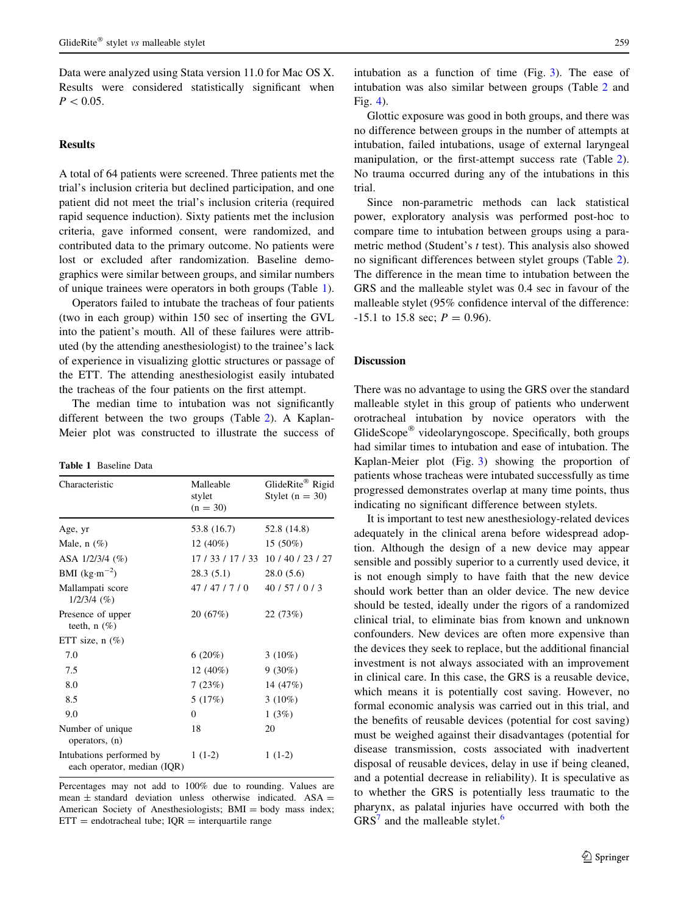Data were analyzed using Stata version 11.0 for Mac OS X. Results were considered statistically significant when  $P < 0.05$ .

# Results

A total of 64 patients were screened. Three patients met the trial's inclusion criteria but declined participation, and one patient did not meet the trial's inclusion criteria (required rapid sequence induction). Sixty patients met the inclusion criteria, gave informed consent, were randomized, and contributed data to the primary outcome. No patients were lost or excluded after randomization. Baseline demographics were similar between groups, and similar numbers of unique trainees were operators in both groups (Table 1).

Operators failed to intubate the tracheas of four patients (two in each group) within 150 sec of inserting the GVL into the patient's mouth. All of these failures were attributed (by the attending anesthesiologist) to the trainee's lack of experience in visualizing glottic structures or passage of the ETT. The attending anesthesiologist easily intubated the tracheas of the four patients on the first attempt.

The median time to intubation was not significantly different between the two groups (Table [2\)](#page-4-0). A Kaplan-Meier plot was constructed to illustrate the success of

| Characteristic                                          | Malleable<br>stylet<br>$(n = 30)$ | GlideRite® Rigid<br>Stylet $(n = 30)$ |
|---------------------------------------------------------|-----------------------------------|---------------------------------------|
| Age, yr                                                 | 53.8 (16.7)                       | 52.8 (14.8)                           |
| Male, $n$ $(\%)$                                        | 12 $(40\%)$                       | 15 (50%)                              |
| ASA 1/2/3/4 (%)                                         | 17 / 33 / 17 / 33                 | 10/40/23/27                           |
| BMI $(kg·m-2)$                                          | 28.3(5.1)                         | 28.0(5.6)                             |
| Mallampati score<br>$1/2/3/4$ (%)                       | 47/47/7/0                         | 40/57/0/3                             |
| Presence of upper<br>teeth, $n(\%)$                     | 20(67%)                           | 22(73%)                               |
| ETT size, $n$ $(\%)$                                    |                                   |                                       |
| 7.0                                                     | $6(20\%)$                         | $3(10\%)$                             |
| 7.5                                                     | 12 $(40\%)$                       | $9(30\%)$                             |
| 8.0                                                     | 7(23%)                            | 14 (47%)                              |
| 8.5                                                     | 5(17%)                            | $3(10\%)$                             |
| 9.0                                                     | $\mathbf{0}$                      | 1(3%)                                 |
| Number of unique<br>operators, (n)                      | 18                                | 20                                    |
| Intubations performed by<br>each operator, median (IQR) | $1(1-2)$                          | $1(1-2)$                              |

Percentages may not add to 100% due to rounding. Values are mean  $\pm$  standard deviation unless otherwise indicated. ASA  $=$ American Society of Anesthesiologists; BMI = body mass index;  $ETT = endotracheal tube; IQR = interquartile range$ 

intubation as a function of time (Fig. [3](#page-4-0)). The ease of intubation was also similar between groups (Table [2](#page-4-0) and Fig. [4](#page-4-0)).

Glottic exposure was good in both groups, and there was no difference between groups in the number of attempts at intubation, failed intubations, usage of external laryngeal manipulation, or the first-attempt success rate (Table [2](#page-4-0)). No trauma occurred during any of the intubations in this trial.

Since non-parametric methods can lack statistical power, exploratory analysis was performed post-hoc to compare time to intubation between groups using a parametric method (Student's t test). This analysis also showed no significant differences between stylet groups (Table [2](#page-4-0)). The difference in the mean time to intubation between the GRS and the malleable stylet was 0.4 sec in favour of the malleable stylet (95% confidence interval of the difference:  $-15.1$  to 15.8 sec;  $P = 0.96$ .

## Discussion

There was no advantage to using the GRS over the standard malleable stylet in this group of patients who underwent orotracheal intubation by novice operators with the GlideScope<sup>®</sup> videolaryngoscope. Specifically, both groups had similar times to intubation and ease of intubation. The Kaplan-Meier plot (Fig. [3](#page-4-0)) showing the proportion of patients whose tracheas were intubated successfully as time progressed demonstrates overlap at many time points, thus indicating no significant difference between stylets.

It is important to test new anesthesiology-related devices adequately in the clinical arena before widespread adoption. Although the design of a new device may appear sensible and possibly superior to a currently used device, it is not enough simply to have faith that the new device should work better than an older device. The new device should be tested, ideally under the rigors of a randomized clinical trial, to eliminate bias from known and unknown confounders. New devices are often more expensive than the devices they seek to replace, but the additional financial investment is not always associated with an improvement in clinical care. In this case, the GRS is a reusable device, which means it is potentially cost saving. However, no formal economic analysis was carried out in this trial, and the benefits of reusable devices (potential for cost saving) must be weighed against their disadvantages (potential for disease transmission, costs associated with inadvertent disposal of reusable devices, delay in use if being cleaned, and a potential decrease in reliability). It is speculative as to whether the GRS is potentially less traumatic to the pharynx, as palatal injuries have occurred with both the  $GRS<sup>7</sup>$  $GRS<sup>7</sup>$  $GRS<sup>7</sup>$  and the malleable stylet.<sup>[6](#page-5-0)</sup>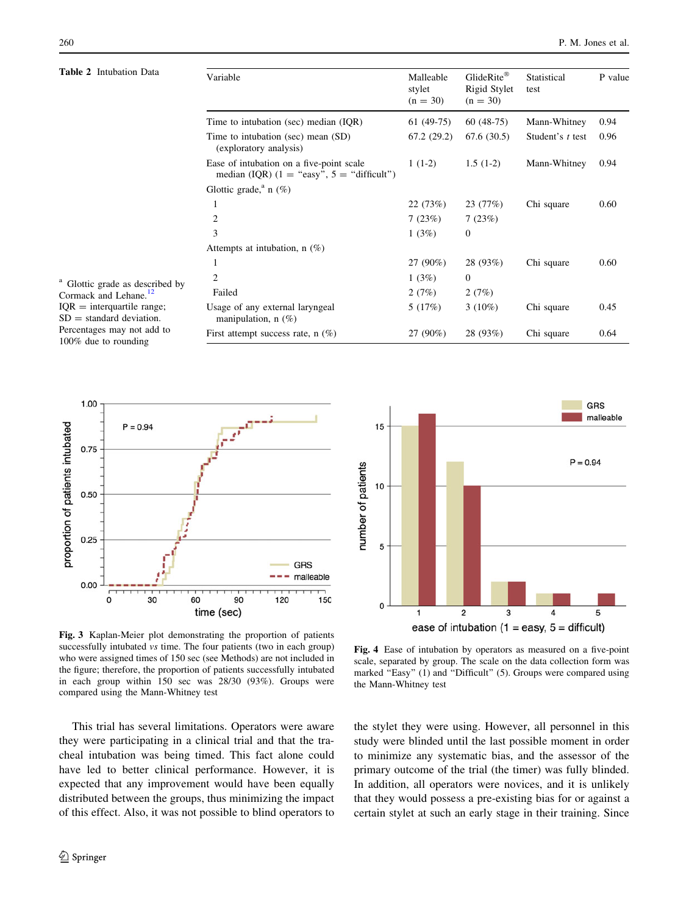#### **Table**

<span id="page-4-0"></span>

| <b>Table 2</b> Intubation Data<br><sup>a</sup> Glottic grade as described by<br>Cormack and Lehane. <sup>12</sup><br>$IQR =$ interquartile range;<br>$SD = standard deviation$ .<br>Percentages may not add to<br>100% due to rounding | Variable                                                                                 | Malleable<br>stylet<br>$(n = 30)$ | GlideRite®<br>Rigid Stylet<br>$(n = 30)$ | Statistical<br>test | P value |
|----------------------------------------------------------------------------------------------------------------------------------------------------------------------------------------------------------------------------------------|------------------------------------------------------------------------------------------|-----------------------------------|------------------------------------------|---------------------|---------|
|                                                                                                                                                                                                                                        | Time to intubation (sec) median (IQR)                                                    | $61(49-75)$                       | $60(48-75)$                              | Mann-Whitney        | 0.94    |
|                                                                                                                                                                                                                                        | Time to intubation (sec) mean (SD)<br>(exploratory analysis)                             | 67.2(29.2)                        | 67.6(30.5)                               | Student's t test    | 0.96    |
|                                                                                                                                                                                                                                        | Ease of intubation on a five-point scale<br>median (IQR) $(1 = "easy", 5 = "difficult")$ | $1(1-2)$                          | $1.5(1-2)$                               | Mann-Whitney        | 0.94    |
|                                                                                                                                                                                                                                        | Glottic grade, <sup>a</sup> n (%)                                                        |                                   |                                          |                     |         |
|                                                                                                                                                                                                                                        | 1                                                                                        | 22(73%)                           | 23(77%)                                  | Chi square          | 0.60    |
|                                                                                                                                                                                                                                        | 2                                                                                        | 7(23%)                            | 7(23%)                                   |                     |         |
|                                                                                                                                                                                                                                        | 3                                                                                        | 1(3%)                             | $\mathbf{0}$                             |                     |         |
|                                                                                                                                                                                                                                        | Attempts at intubation, $n(\%)$                                                          |                                   |                                          |                     |         |
|                                                                                                                                                                                                                                        | 1                                                                                        | 27 (90%)                          | 28 (93%)                                 | Chi square          | 0.60    |
|                                                                                                                                                                                                                                        | $\overline{2}$                                                                           | 1(3%)                             | $\mathbf{0}$                             |                     |         |
|                                                                                                                                                                                                                                        | Failed                                                                                   | 2(7%)                             | 2(7%)                                    |                     |         |
|                                                                                                                                                                                                                                        | Usage of any external laryngeal<br>manipulation, $n$ (%)                                 | 5(17%)                            | $3(10\%)$                                | Chi square          | 0.45    |
|                                                                                                                                                                                                                                        | First attempt success rate, $n$ (%)                                                      | 27 (90%)                          | 28 (93%)                                 | Chi square          | 0.64    |



Fig. 3 Kaplan-Meier plot demonstrating the proportion of patients successfully intubated vs time. The four patients (two in each group) who were assigned times of 150 sec (see Methods) are not included in the figure; therefore, the proportion of patients successfully intubated in each group within 150 sec was 28/30 (93%). Groups were compared using the Mann-Whitney test

This trial has several limitations. Operators were aware they were participating in a clinical trial and that the tracheal intubation was being timed. This fact alone could have led to better clinical performance. However, it is expected that any improvement would have been equally distributed between the groups, thus minimizing the impact of this effect. Also, it was not possible to blind operators to



Fig. 4 Ease of intubation by operators as measured on a five-point scale, separated by group. The scale on the data collection form was marked "Easy" (1) and "Difficult" (5). Groups were compared using the Mann-Whitney test

the stylet they were using. However, all personnel in this study were blinded until the last possible moment in order to minimize any systematic bias, and the assessor of the primary outcome of the trial (the timer) was fully blinded. In addition, all operators were novices, and it is unlikely that they would possess a pre-existing bias for or against a certain stylet at such an early stage in their training. Since